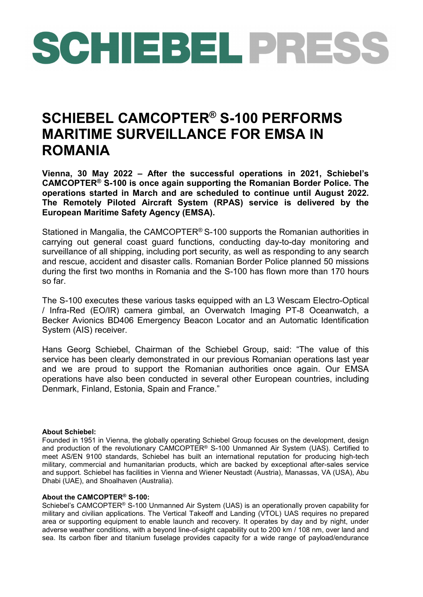## SCHIEBEL PRESS

## **SCHIEBEL CAMCOPTER® S-100 PERFORMS MARITIME SURVEILLANCE FOR EMSA IN ROMANIA**

**Vienna, 30 May 2022 – After the successful operations in 2021, Schiebel's CAMCOPTER® S-100 is once again supporting the Romanian Border Police. The operations started in March and are scheduled to continue until August 2022. The Remotely Piloted Aircraft System (RPAS) service is delivered by the European Maritime Safety Agency (EMSA).**

Stationed in Mangalia, the CAMCOPTER® S-100 supports the Romanian authorities in carrying out general coast guard functions, conducting day-to-day monitoring and surveillance of all shipping, including port security, as well as responding to any search and rescue, accident and disaster calls. Romanian Border Police planned 50 missions during the first two months in Romania and the S-100 has flown more than 170 hours so far.

The S-100 executes these various tasks equipped with an L3 Wescam Electro-Optical / Infra-Red (EO/IR) camera gimbal, an Overwatch Imaging PT-8 Oceanwatch, a Becker Avionics BD406 Emergency Beacon Locator and an Automatic Identification System (AIS) receiver.

Hans Georg Schiebel, Chairman of the Schiebel Group, said: "The value of this service has been clearly demonstrated in our previous Romanian operations last year and we are proud to support the Romanian authorities once again. Our EMSA operations have also been conducted in several other European countries, including Denmark, Finland, Estonia, Spain and France."

## **About Schiebel:**

Founded in 1951 in Vienna, the globally operating Schiebel Group focuses on the development, design and production of the revolutionary CAMCOPTER® S-100 Unmanned Air System (UAS). Certified to meet AS/EN 9100 standards, Schiebel has built an international reputation for producing high-tech military, commercial and humanitarian products, which are backed by exceptional after-sales service and support. Schiebel has facilities in Vienna and Wiener Neustadt (Austria), Manassas, VA (USA), Abu Dhabi (UAE), and Shoalhaven (Australia).

## **About the CAMCOPTER® S-100:**

Schiebel's CAMCOPTER® S-100 Unmanned Air System (UAS) is an operationally proven capability for military and civilian applications. The Vertical Takeoff and Landing (VTOL) UAS requires no prepared area or supporting equipment to enable launch and recovery. It operates by day and by night, under adverse weather conditions, with a beyond line-of-sight capability out to 200 km / 108 nm, over land and sea. Its carbon fiber and titanium fuselage provides capacity for a wide range of payload/endurance